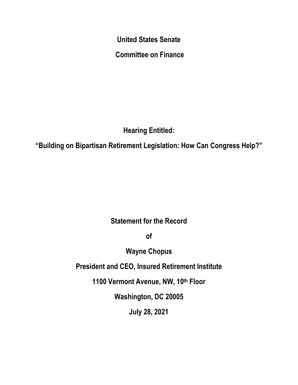**United States Senate**

**Committee on Finance**

**Hearing Entitled:** 

**"Building on Bipartisan Retirement Legislation: How Can Congress Help?"**

**Statement for the Record** 

**of** 

**Wayne Chopus**

**President and CEO, Insured Retirement Institute**

**1100 Vermont Avenue, NW, 10th Floor**

**Washington, DC 20005**

**July 28, 2021**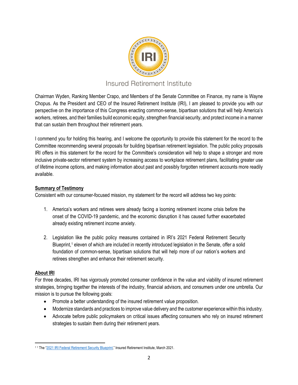

# Insured Retirement Institute

Chairman Wyden, Ranking Member Crapo, and Members of the Senate Committee on Finance, my name is Wayne Chopus. As the President and CEO of the Insured Retirement Institute (IRI), I am pleased to provide you with our perspective on the importance of this Congress enacting common-sense, bipartisan solutions that will help America's workers, retirees, and their families build economic equity, strengthen financial security, and protect income in a manner that can sustain them throughout their retirement years.

I commend you for holding this hearing, and I welcome the opportunity to provide this statement for the record to the Committee recommending several proposals for building bipartisan retirement legislation. The public policy proposals IRI offers in this statement for the record for the Committee's consideration will help to shape a stronger and more inclusive private-sector retirement system by increasing access to workplace retirement plans, facilitating greater use of lifetime income options, and making information about past and possibly forgotten retirement accounts more readily available.

# **Summary of Testimony**

Consistent with our consumer-focused mission, my statement for the record will address two key points:

- 1. America's workers and retirees were already facing a looming retirement income crisis before the onset of the COVID-19 pandemic, and the economic disruption it has caused further exacerbated already existing retirement income anxiety.
- 2. Legislation like the public policy measures contained in IRI's 2021 Federal Retirement Security Blueprint, [1](#page-1-0) eleven of which are included in recently introduced legislation in the Senate, offer a solid foundation of common-sense, bipartisan solutions that will help more of our nation's workers and retirees strengthen and enhance their retirement security.

# **About IRI**

For three decades, IRI has vigorously promoted consumer confidence in the value and viability of insured retirement strategies, bringing together the interests of the industry, financial advisors, and consumers under one umbrella. Our mission is to pursue the following goals:

- Promote a better understanding of the insured retirement value proposition.
- Modernize standards and practices to improve value delivery and the customer experience within this industry.
- Advocate before public policymakers on critical issues affecting consumers who rely on insured retirement strategies to sustain them during their retirement years.

<span id="page-1-0"></span><sup>&</sup>lt;sup>11</sup> The ["2021 IRI Federal Retirement Security Blueprint,"](https://www.myirionline.org/docs/default-source/default-document-library/iri_advocacy-blueprint_2021-final-2.pdf) Insured Retirement Institute, March 2021.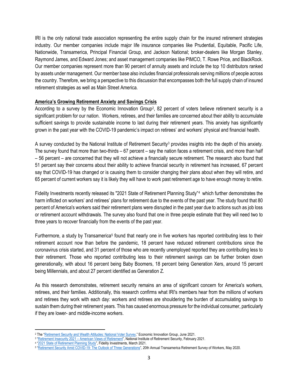IRI is the only national trade association representing the entire supply chain for the insured retirement strategies industry. Our member companies include major life insurance companies like Prudential, Equitable, Pacific Life, Nationwide, Transamerica, Principal Financial Group, and Jackson National; broker-dealers like Morgan Stanley, Raymond James, and Edward Jones; and asset management companies like PIMCO, T. Rowe Price, and BlackRock. Our member companies represent more than 90 percent of annuity assets and include the top 10 distributors ranked by assets under management. Our member base also includes financial professionals serving millions of people across the country. Therefore, we bring a perspective to this discussion that encompasses both the full supply chain of insured retirement strategies as well as Main Street America.

#### **America's Growing Retirement Anxiety and Savings Crisis**

According to a survey by the Economic Innovation Group<sup>[2](#page-2-0)</sup>, 82 percent of voters believe retirement security is a significant problem for our nation. Workers, retirees, and their families are concerned about their ability to accumulate sufficient savings to provide sustainable income to last during their retirement years. This anxiety has significantly grown in the past year with the COVID-19 pandemic's impact on retirees' and workers' physical and financial health.

A survey conducted by the National Institute of Retirement Security<sup>[3](#page-2-1)</sup> provides insights into the depth of this anxiety. The survey found that more than two-thirds – 67 percent – say the nation faces a retirement crisis, and more than half – 56 percent – are concerned that they will not achieve a financially secure retirement. The research also found that 51 percent say their concerns about their ability to achieve financial security in retirement has increased, 67 percent say that COVID-19 has changed or is causing them to consider changing their plans about when they will retire, and 65 percent of current workers say it is likely they will have to work past retirement age to have enough money to retire.

Fidelity Investments recently released its "2021 State of Retirement Planning Study"[4](#page-2-2) which further demonstrates the harm inflicted on workers' and retirees' plans for retirement due to the events of the past year. The study found that 80 percent of America's workers said their retirement plans were disrupted in the past year due to actions such as job loss or retirement account withdrawals. The survey also found that one in three people estimate that they will need two to three years to recover financially from the events of the past year.

Furthermore, a study by Transamerica<sup>[5](#page-2-3)</sup> found that nearly one in five workers has reported contributing less to their retirement account now than before the pandemic, 18 percent have reduced retirement contributions since the coronavirus crisis started, and 31 percent of those who are recently unemployed reported they are contributing less to their retirement. Those who reported contributing less to their retirement savings can be further broken down generationally, with about 16 percent being Baby Boomers, 18 percent being Generation Xers, around 15 percent being Millennials, and about 27 percent identified as Generation Z.

As this research demonstrates, retirement security remains an area of significant concern for America's workers, retirees, and their families. Additionally, this research confirms what IRI's members hear from the millions of workers and retirees they work with each day: workers and retirees are shouldering the burden of accumulating savings to sustain them during their retirement years. This has caused enormous pressure for the individual consumer, particularly if they are lower- and middle-income workers.

<span id="page-2-0"></span><sup>&</sup>lt;sup>2</sup> The ["Retirement Security and Wealth Attitudes: National Voter Survey,"](https://inclusivewealthbuildinginitiative.eig.org/wp-content/uploads/2021/06/EIG-National-Voter-Survey.pdf) Economic Innovation Group, June 2021.

<span id="page-2-1"></span><sup>&</sup>lt;sup>3</sup> "Retirement Insecurity 2021 – [American Views of Retirement"](https://www.nirsonline.org/wp-content/uploads/2021/02/FINAL-Retirement-Insecurity-2021-.pdf), National Institute of Retirement Security, February 2021.

<span id="page-2-2"></span><sup>&</sup>lt;sup>4</sup> ["2021 State of Retirement Planning Study"](https://s2.q4cdn.com/997146844/files/doc_news/2021/03/24/State-of-Retirement-Planning_Fact-Sheet_FINAL.pdf), Fidelity Investments, March 2021.

<span id="page-2-3"></span><sup>5</sup> ["Retirement Security Amid COVID-19: The Outlook of Three Generations"](https://transamericacenter.org/docs/default-source/retirement-survey-of-workers/tcrs2020_sr_retirement_security_amid_covid-19.pdf), 20th Annual Transamerica Retirement Survey of Workers, May 2020.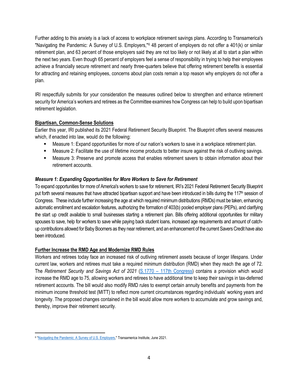Further adding to this anxiety is a lack of access to workplace retirement savings plans. According to Transamerica's "Navigating the Pandemic: A Survey of U.S. Employers,"<sup>[6](#page-3-0)</sup> 48 percent of employers do not offer a 401(k) or similar retirement plan, and 63 percent of those employers said they are not too likely or not likely at all to start a plan within the next two years. Even though 65 percent of employers feel a sense of responsibility in trying to help their employees achieve a financially secure retirement and nearly three-quarters believe that offering retirement benefits is essential for attracting and retaining employees, concerns about plan costs remain a top reason why employers do not offer a plan.

IRI respectfully submits for your consideration the measures outlined below to strengthen and enhance retirement security for America's workers and retirees as the Committee examines how Congress can help to build upon bipartisan retirement legislation.

# **Bipartisan, Common-Sense Solutions**

Earlier this year, IRI published its 2021 Federal Retirement Security Blueprint. The Blueprint offers several measures which, if enacted into law, would do the following:

- Measure 1: Expand opportunities for more of our nation's workers to save in a workplace retirement plan.
- Measure 2: Facilitate the use of lifetime income products to better insure against the risk of outliving savings.
- Measure 3: Preserve and promote access that enables retirement savers to obtain information about their retirement accounts.

# *Measure 1: Expanding Opportunities for More Workers to Save for Retirement*

To expand opportunities for more of America's workers to save for retirement, IRI's 2021 Federal Retirement Security Blueprint put forth several measures that have attracted bipartisan support and have been introduced in bills during the  $117<sup>th</sup>$  session of Congress. These include further increasing the age at which required minimum distributions (RMDs) must be taken, enhancing automatic enrollment and escalation features, authorizing the formation of 403(b) pooled employer plans (PEPs), and clarifying the start up credit available to small businesses starting a retirement plan. Bills offering additional opportunities for military spouses to save, help for workers to save while paying back student loans, increased age requirements and amount of catchup contributions allowed for Baby Boomers as they near retirement, and an enhancement of the current Savers Credit have also been introduced.

# **Further Increase the RMD Age and Modernize RMD Rules**

Workers and retirees today face an increased risk of outliving retirement assets because of longer lifespans. Under current law, workers and retirees must take a required minimum distribution (RMD) when they reach the age of 72. The *Retirement Security and Savings Act of 2021* (S.1770 – [117th Congress\)](https://www.congress.gov/117/bills/s1770/BILLS-117s1770is.pdf) contains a provision which would increase the RMD age to 75, allowing workers and retirees to have additional time to keep their savings in tax-deferred retirement accounts. The bill would also modify RMD rules to exempt certain annuity benefits and payments from the minimum income threshold test (MITT) to reflect more current circumstances regarding individuals' working years and longevity. The proposed changes contained in the bill would allow more workers to accumulate and grow savings and, thereby, improve their retirement security.

<span id="page-3-0"></span><sup>6</sup> ["Navigating the Pandemic: A Survey of U.S. Employers,](https://transamericainstitute.org/docs/default-source/research/ti-2021_sr_employers-navigating-the-pandemic.pdf)" Transamerica Institute, June 2021.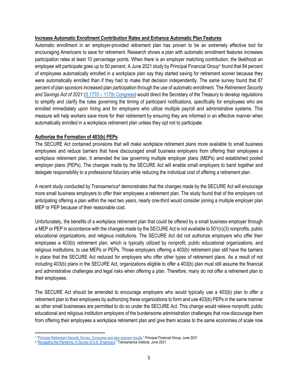#### **Increase Automatic Enrollment Contribution Rates and Enhance Automatic Plan Features**

Automatic enrollment in an employer-provided retirement plan has proven to be an extremely effective tool for encouraging Americans to save for retirement. Research shows a plan with automatic enrollment features increases participation rates at least 10 percentage points. When there is an employer matching contribution, the likelihood an employee will participate goes up to 50 percent. A June 2021 study by Principal Financial Group<sup>7</sup> found that 84 percent of employees automatically enrolled in a workplace plan say they started saving for retirement sooner because they were automatically enrolled than if they had to make that decision independently. The same survey found that 87 percent of plan sponsors increased plan participation through the use of automatic enrollment. The *Retirement Security and Savings Act of 2021* (S.1770 – [117th Congress\)](https://www.congress.gov/117/bills/s1770/BILLS-117s1770is.pdf) would direct the Secretary of the Treasury to develop regulations to simplify and clarify the rules governing the timing of participant notifications, specifically for employees who are enrolled immediately upon hiring and for employers who utilize multiple payroll and administrative systems. This measure will help workers save more for their retirement by ensuring they are informed in an effective manner when automatically enrolled in a workplace retirement plan unless they opt not to participate.

#### **Authorize the Formation of 403(b) PEPs**

The SECURE Act contained provisions that will make workplace retirement plans more available to small business employees and reduce barriers that have discouraged small business employers from offering their employees a workplace retirement plan. It amended the law governing multiple employer plans (MEPs) and established pooled employer plans (PEPs). The changes made by the SECURE Act will enable small employers to band together and delegate responsibility to a professional fiduciary while reducing the individual cost of offering a retirement plan.

A recent study conducted by Transamerica<sup>[8](#page-4-1)</sup> demonstrates that the changes made by the SECURE Act will encourage more small business employers to offer their employees a retirement plan. The study found that of the employers not anticipating offering a plan within the next two years, nearly one-third would consider joining a multiple employer plan MEP or PEP because of their reasonable cost.

Unfortunately, the benefits of a workplace retirement plan that could be offered by a small business employer through a MEP or PEP in accordance with the changes made by the SECURE Act is not available to 501(c)(3) nonprofits, public educational organizations, and religious institutions. The SECURE Act did not authorize employers who offer their employees a 403(b) retirement plan, which is typically utilized by nonprofit, public educational organizations, and religious institutions, to use MEPs or PEPs. Those employers offering a 403(b) retirement plan still have the barriers in place that the SECURE Act reduced for employers who offer other types of retirement plans. As a result of not including 403(b) plans in the SECURE Act, organizations eligible to offer a 403(b) plan must still assume the financial and administrative challenges and legal risks when offering a plan. Therefore, many do not offer a retirement plan to their employees.

The SECURE Act should be amended to encourage employers who would typically use a 403(b) plan to offer a retirement plan to their employees by authorizing these organizations to form and use 403(b) PEPs in the same manner as other small businesses are permitted to do so under the SECURE Act. This change would relieve nonprofit, public educational and religious institution employers of the burdensome administration challenges that now discourage them from offering their employees a workplace retirement plan and give them access to the same economies of scale now

<span id="page-4-0"></span><sup>7</sup> ["Principal Retirement Security Survey: Consumer and plan sponsor results."](https://secure02.principal.com/publicvsupply/GetFile?fm=PQ13007-1&ty=VOP) Principal Financial Group, June 2021

<span id="page-4-1"></span><sup>8</sup> ["Navigating the Pandemic: A Survey of U.S. Employers,](https://transamericainstitute.org/docs/default-source/research/ti-2021_sr_employers-navigating-the-pandemic.pdf)" Transamerica Institute, June 2021.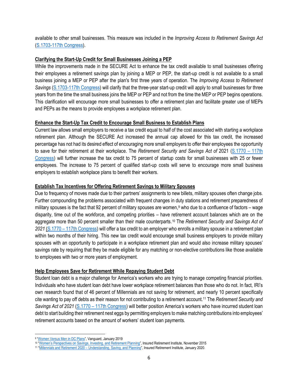available to other small businesses. This measure was included in the *Improving Access to Retirement Savings Act* [\(S.1703-117th Congress\)](https://www.grassley.senate.gov/imo/media/doc/improving_access_to_retirement_savings_act_2021_bill_text.pdf).

# **Clarifying the Start-Up Credit for Small Businesses Joining a PEP**

While the improvements made in the SECURE Act to enhance the tax credit available to small businesses offering their employees a retirement savings plan by joining a MEP or PEP, the start-up credit is not available to a small business joining a MEP or PEP after the plan's first three years of operation. The *Improving Access to Retirement Savings* [\(S.1703-117th Congress\)](https://www.grassley.senate.gov/imo/media/doc/improving_access_to_retirement_savings_act_2021_bill_text.pdf) will clarify that the three-year start-up credit will apply to small businesses for three years from the time the small business joins the MEP or PEP and not from the time the MEP or PEP begins operations. This clarification will encourage more small businesses to offer a retirement plan and facilitate greater use of MEPs and PEPs as the means to provide employees a workplace retirement plan.

# **Enhance the Start-Up Tax Credit to Encourage Small Business to Establish Plans**

Current law allows small employers to receive a tax credit equal to half of the cost associated with starting a workplace retirement plan. Although the SECURE Act increased the annual cap allowed for this tax credit, the increased percentage has not had its desired effect of encouraging more small employers to offer their employees the opportunity to save for their retirement at their workplace. The *Retirement Security and Savings Act of* 2021 [\(S.1770 –](https://www.congress.gov/117/bills/s1770/BILLS-117s1770is.pdf) 117th [Congress\)](https://www.congress.gov/117/bills/s1770/BILLS-117s1770is.pdf) will further increase the tax credit to 75 percent of startup costs for small businesses with 25 or fewer employees. The increase to 75 percent of qualified start-up costs will serve to encourage more small business employers to establish workplace plans to benefit their workers.

#### **Establish Tax Incentives for Offering Retirement Savings to Military Spouses**

Due to frequency of moves made due to their partners' assignments to new billets, military spouses often change jobs. Further compounding the problems associated with frequent changes in duty stations and retirement preparedness of military spouses is the fact that 92 percent of military spouses are women,<sup>9</sup> who due to a confluence of factors – wage disparity, time out of the workforce, and competing priorities – have retirement account balances which are on the aggregate more than 50 percent smaller than their male counterparts.[10](#page-5-1) The *Retirement Security and Savings Act of 2021* (S.1770 – [117th Congress\)](https://www.congress.gov/117/bills/s1770/BILLS-117s1770is.pdf) will offer a tax credit to an employer who enrolls a military spouse in a retirement plan within two months of their hiring. This new tax credit would encourage small business employers to provide military spouses with an opportunity to participate in a workplace retirement plan and would also increase military spouses' savings rate by requiring that they be made eligible for any matching or non-elective contributions like those available to employees with two or more years of employment.

# **Help Employees Save for Retirement While Repaying Student Debt**

Student loan debt is a major challenge for America's workers who are trying to manage competing financial priorities. Individuals who have student loan debt have lower workplace retirement balances than those who do not. In fact, IRI's own research found that of 46 percent of Millennials are not saving for retirement, and nearly 10 percent specifically cite wanting to pay off debts as their reason for not contributing to a retirement account.[11](#page-5-2) The *Retirement Security and Savings Act of 2021* (S.1770 – [117th Congress\)](https://www.congress.gov/117/bills/s1770/BILLS-117s1770is.pdf) will better position America's workers who have incurred student loan debt to start building their retirement nest eggs by permitting employers to make matching contributions into employees' retirement accounts based on the amount of workers' student loan payments.

<span id="page-5-0"></span><sup>9</sup> ["Women Versus Men in DC Plans"](https://institutional.vanguard.com/iam/pdf/GENDRESP.pdf?cbdForceDomain=true), Vanguard, January 2019

<span id="page-5-1"></span><sup>10</sup> ["Women's Perspectives on Savings, Investing, and Retirement Planning",](https://www.myirionline.org/docs/default-source/research/women-39-s-perspectives-on-saving-investing-and-retirement-planning.pdf?sfvrsn=2) Insured Retirement Institute, November 2015

<span id="page-5-2"></span><sup>11</sup> "Millennials and Retirement 2020 – [Understanding, Saving, and Planning"](https://www.myirionline.org/docs/default-source/default-document-library/iri_millenial_whitepaper_final_2020.pdf?sfvrsn=0), Insured Retirement Institute, January 2020.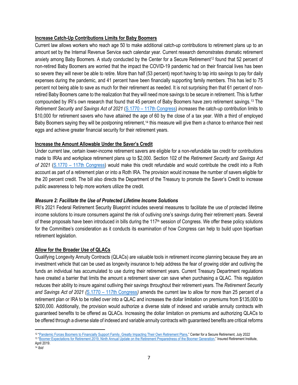# **Increase Catch-Up Contributions Limits for Baby Boomers**

Current law allows workers who reach age 50 to make additional catch-up contributions to retirement plans up to an amount set by the Internal Revenue Service each calendar year. Current research demonstrates dramatic retirement anxiety among Baby Boomers. A study conducted by the Center for a Secure Retirement<sup>12</sup> found that 52 percent of non-retired Baby Boomers are worried that the impact the COVID-19 pandemic had on their financial lives has been so severe they will never be able to retire. More than half (53 percent) report having to tap into savings to pay for daily expenses during the pandemic, and 41 percent have been financially supporting family members. This has led to 75 percent not being able to save as much for their retirement as needed. It is not surprising then that 61 percent of nonretired Baby Boomers came to the realization that they will need more savings to be secure in retirement. This is further compounded by IRI's own research that found that 45 percent of Baby Boomers have zero retirement savings[.13](#page-6-1) The *Retirement Security and Savings Act of 2021* (S.1770 – [117th Congress\)](https://www.congress.gov/117/bills/s1770/BILLS-117s1770is.pdf) *increases* the catch-up contribution limits to \$10,000 for retirement savers who have attained the age of 60 by the close of a tax year. With a third of employed Baby Boomers saying they will be postponing retirement,<sup>[14](#page-6-2)</sup> this measure will give them a chance to enhance their nest eggs and achieve greater financial security for their retirement years.

# **Increase the Amount Allowable Under the Saver's Credit**

Under current law, certain lower-income retirement savers are eligible for a non-refundable tax credit for contributions made to IRAs and workplace retirement plans up to \$2,000. Section 102 of the *Retirement Security and Savings Act of 2021* (S.1770 – [117th Congress\)](https://www.congress.gov/117/bills/s1770/BILLS-117s1770is.pdf) would make this credit refundable and would contribute the credit into a Roth account as part of a retirement plan or into a Roth IRA. The provision would increase the number of savers eligible for the 20 percent credit. The bill also directs the Department of the Treasury to promote the Saver's Credit to increase public awareness to help more workers utilize the credit.

# *Measure 2: Facilitate the Use of Protected Lifetime Income Solutions*

IRI's 2021 Federal Retirement Security Blueprint includes several measures to facilitate the use of protected lifetime income solutions to insure consumers against the risk of outliving one's savings during their retirement years. Several of these proposals have been introduced in bills during the 117<sup>th</sup> session of Congress. We offer these policy solutions for the Committee's consideration as it conducts its examination of how Congress can help to build upon bipartisan retirement legislation.

# **Allow for the Broader Use of QLACs**

Qualifying Longevity Annuity Contracts (QLACs) are valuable tools in retirement income planning because they are an investment vehicle that can be used as longevity insurance to help address the fear of growing older and outliving the funds an individual has accumulated to use during their retirement years. Current Treasury Department regulations have created a barrier that limits the amount a retirement saver can save when purchasing a QLAC. This regulation reduces their ability to insure against outliving their savings throughout their retirement years. The *Retirement Security and Savings Act of 2021 (*S.1770 – [117th Congress](https://www.congress.gov/117/bills/s1770/BILLS-117s1770is.pdf)*)* amends the current law to allow for more than 25 percent of a retirement plan or IRA to be rolled over into a QLAC and increases the dollar limitation on premiums from \$135,000 to \$200,000. Additionally, the provision would authorize a diverse slate of indexed and variable annuity contracts with guaranteed benefits to be offered as QLACs. Increasing the dollar limitation on premiums and authorizing QLACs to be offered through a diverse slate of indexed and variable annuity contracts with guaranteed benefits are critical reforms

<span id="page-6-1"></span><span id="page-6-0"></span><sup>&</sup>lt;sup>12</sup> "Pandemic Forces Boomers to Financially Support Family, Greatly Impacting Their Own Retirement Plans," Center for a Secure Retirement, July 2022 <sup>13</sup> ["Boomer Expectations for Retirement 2019, Ninth Annual Update on the Retirement Preparedness of the Boomer Generation,"](https://www.myirionline.org/docs/default-source/default-document-library/iri_babyboomers_whitepaper_2019_final.pdf?sfvrsn=55bc4364_0) Insured Retirement Institute, April 2019

<span id="page-6-2"></span><sup>14</sup> *Ibid*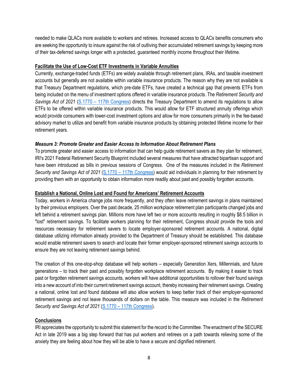needed to make QLACs more available to workers and retirees. Increased access to QLACs benefits consumers who are seeking the opportunity to insure against the risk of outliving their accumulated retirement savings by keeping more of their tax-deferred savings longer with a protected, guaranteed monthly income throughout their lifetime.

# **Facilitate the Use of Low-Cost ETF Investments in Variable Annuities**

Currently, exchange-traded funds (ETFs) are widely available through retirement plans, IRAs, and taxable investment accounts but generally are not available within variable insurance products. The reason why they are not available is that Treasury Department regulations, which pre-date ETFs, have created a technical gap that prevents ETFs from being included on the menu of investment options offered in variable insurance products. The *Retirement Security and Savings Act of 2021* (S.1770 – [117th Congress\)](https://www.congress.gov/117/bills/s1770/BILLS-117s1770is.pdf) directs the Treasury Department to amend its regulations to allow ETFs to be offered within variable insurance products. This would allow for ETF structured annuity offerings which would provide consumers with lower-cost investment options and allow for more consumers primarily in the fee-based advisory market to utilize and benefit from variable insurance products by obtaining protected lifetime income for their retirement years.

# *Measure 3: Promote Greater and Easier Access to Information About Retirement Plans*

To promote greater and easier access to information that can help guide retirement savers as they plan for retirement, IRI's 2021 Federal Retirement Security Blueprint included several measures that have attracted bipartisan support and have been introduced as bills in previous sessions of Congress. One of the measures included in the *Retirement Security and Savings Act of 2021* (S.1770 – [117th Congress\)](https://www.congress.gov/117/bills/s1770/BILLS-117s1770is.pdf) would aid individuals in planning for their retirement by providing them with an opportunity to obtain information more readily about past and possibly forgotten accounts.

#### **Establish a National, Online Lost and Found for Americans' Retirement Accounts**

Today, workers in America change jobs more frequently, and they often leave retirement savings in plans maintained by their previous employers. Over the past decade, 25 million workplace retirement plan participants changed jobs and left behind a retirement savings plan. Millions more have left two or more accounts resulting in roughly \$8.5 billion in "lost" retirement savings. To facilitate workers planning for their retirement, Congress should provide the tools and resources necessary for retirement savers to locate employer-sponsored retirement accounts. A national, digital database utilizing information already provided to the Department of Treasury should be established. This database would enable retirement savers to search and locate their former employer-sponsored retirement savings accounts to ensure they are not leaving retirement savings behind.

The creation of this one-stop-shop database will help workers – especially Generation Xers, Millennials, and future generations – to track their past and possibly forgotten workplace retirement accounts. By making it easier to track past or forgotten retirement savings accounts, workers will have additional opportunities to rollover their found savings into a new account of into their current retirement savings account, thereby increasing their retirement savings. Creating a national, online lost and found database will also allow workers to keep better track of their employer-sponsored retirement savings and not leave thousands of dollars on the table. This measure was included in the *Retirement Security and Savings Act of 2021* (S.1770 – [117th Congress\)](https://www.congress.gov/117/bills/s1770/BILLS-117s1770is.pdf).

# **Conclusions**

IRI appreciates the opportunity to submit this statement for the record to the Committee. The enactment of the SECURE Act in late 2019 was a big step forward that has put workers and retirees on a path towards relieving some of the anxiety they are feeling about how they will be able to have a secure and dignified retirement.